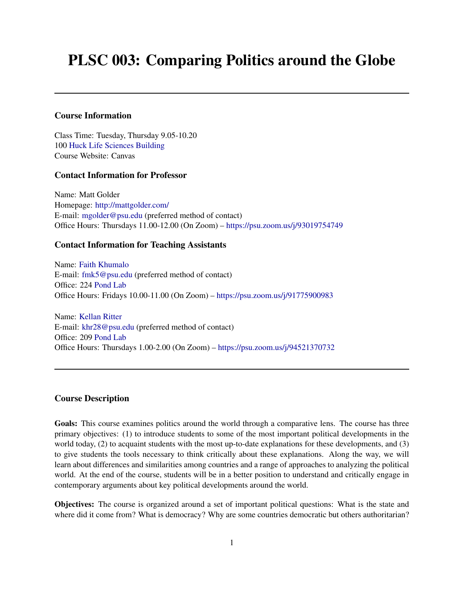# PLSC 003: Comparing Politics around the Globe

## Course Information

Class Time: Tuesday, Thursday 9.05-10.20 100 [Huck Life Sciences Building](https://www.map.psu.edu/?id=1134#!m/337704) Course Website: Canvas

## Contact Information for Professor

Name: Matt Golder Homepage: <http://mattgolder.com/> E-mail: [mgolder@psu.edu](mailto:mgolder@psu.edu) (preferred method of contact) Office Hours: Thursdays 11.00-12.00 (On Zoom) – [https://psu.zoom.us/j/93019754749]( https://psu.zoom.us/j/93019754749)

## Contact Information for Teaching Assistants

Name: [Faith Khumalo](https://sites.psu.edu/faithkhumalo/) E-mail: [fmk5@psu.edu](mailto:fmk5@[su.edu) (preferred method of contact) Office: 224 [Pond Lab](https://map.psu.edu/?id=1134#!m/274775?ce/0,27258,29794?s/Pond20Lab?ct/33177,26611,25403,0,27255,26750,26749,26748) Office Hours: Fridays 10.00-11.00 (On Zoom) – [https://psu.zoom.us/j/91775900983]( https://psu.zoom.us/j/91775900983)

Name: [Kellan Ritter](https://sites.psu.edu/khr28/) E-mail: [khr28@psu.edu](mailto:khr28@psu.edu) (preferred method of contact) Office: 209 [Pond Lab](https://map.psu.edu/?id=1134#!m/274775?ce/0,27258,29794?s/Pond20Lab?ct/33177,26611,25403,0,27255,26750,26749,26748) Office Hours: Thursdays 1.00-2.00 (On Zoom) – [https://psu.zoom.us/j/94521370732]( https://psu.zoom.us/j/94521370732)

#### Course Description

Goals: This course examines politics around the world through a comparative lens. The course has three primary objectives: (1) to introduce students to some of the most important political developments in the world today, (2) to acquaint students with the most up-to-date explanations for these developments, and (3) to give students the tools necessary to think critically about these explanations. Along the way, we will learn about differences and similarities among countries and a range of approaches to analyzing the political world. At the end of the course, students will be in a better position to understand and critically engage in contemporary arguments about key political developments around the world.

Objectives: The course is organized around a set of important political questions: What is the state and where did it come from? What is democracy? Why are some countries democratic but others authoritarian?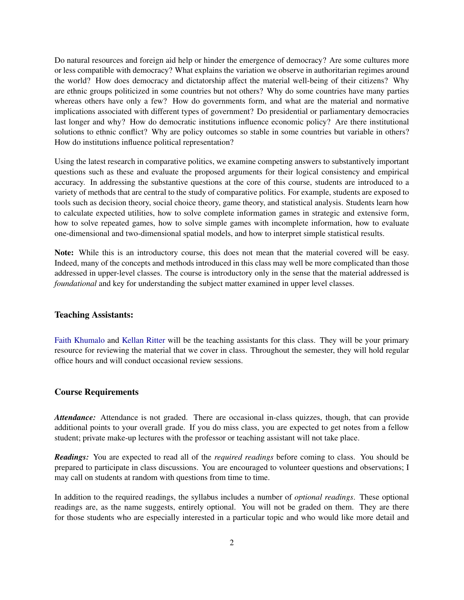Do natural resources and foreign aid help or hinder the emergence of democracy? Are some cultures more or less compatible with democracy? What explains the variation we observe in authoritarian regimes around the world? How does democracy and dictatorship affect the material well-being of their citizens? Why are ethnic groups politicized in some countries but not others? Why do some countries have many parties whereas others have only a few? How do governments form, and what are the material and normative implications associated with different types of government? Do presidential or parliamentary democracies last longer and why? How do democratic institutions influence economic policy? Are there institutional solutions to ethnic conflict? Why are policy outcomes so stable in some countries but variable in others? How do institutions influence political representation?

Using the latest research in comparative politics, we examine competing answers to substantively important questions such as these and evaluate the proposed arguments for their logical consistency and empirical accuracy. In addressing the substantive questions at the core of this course, students are introduced to a variety of methods that are central to the study of comparative politics. For example, students are exposed to tools such as decision theory, social choice theory, game theory, and statistical analysis. Students learn how to calculate expected utilities, how to solve complete information games in strategic and extensive form, how to solve repeated games, how to solve simple games with incomplete information, how to evaluate one-dimensional and two-dimensional spatial models, and how to interpret simple statistical results.

Note: While this is an introductory course, this does not mean that the material covered will be easy. Indeed, many of the concepts and methods introduced in this class may well be more complicated than those addressed in upper-level classes. The course is introductory only in the sense that the material addressed is *foundational* and key for understanding the subject matter examined in upper level classes.

#### Teaching Assistants:

[Faith Khumalo](https://sites.psu.edu/faithkhumalo/) and [Kellan Ritter](https://sites.psu.edu/khr28/) will be the teaching assistants for this class. They will be your primary resource for reviewing the material that we cover in class. Throughout the semester, they will hold regular office hours and will conduct occasional review sessions.

## Course Requirements

*Attendance:* Attendance is not graded. There are occasional in-class quizzes, though, that can provide additional points to your overall grade. If you do miss class, you are expected to get notes from a fellow student; private make-up lectures with the professor or teaching assistant will not take place.

*Readings:* You are expected to read all of the *required readings* before coming to class. You should be prepared to participate in class discussions. You are encouraged to volunteer questions and observations; I may call on students at random with questions from time to time.

In addition to the required readings, the syllabus includes a number of *optional readings*. These optional readings are, as the name suggests, entirely optional. You will not be graded on them. They are there for those students who are especially interested in a particular topic and who would like more detail and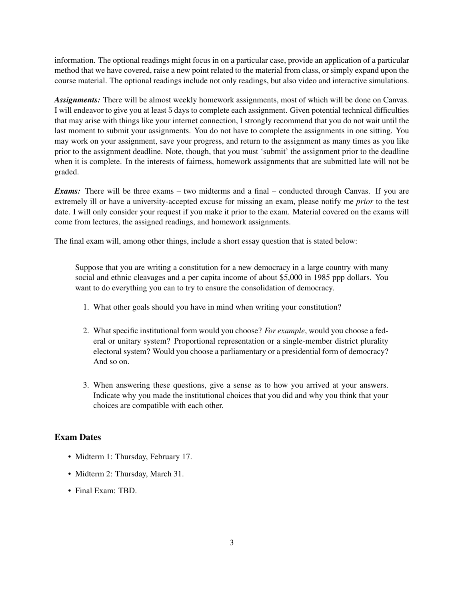information. The optional readings might focus in on a particular case, provide an application of a particular method that we have covered, raise a new point related to the material from class, or simply expand upon the course material. The optional readings include not only readings, but also video and interactive simulations.

*Assignments:* There will be almost weekly homework assignments, most of which will be done on Canvas. I will endeavor to give you at least 5 days to complete each assignment. Given potential technical difficulties that may arise with things like your internet connection, I strongly recommend that you do not wait until the last moment to submit your assignments. You do not have to complete the assignments in one sitting. You may work on your assignment, save your progress, and return to the assignment as many times as you like prior to the assignment deadline. Note, though, that you must 'submit' the assignment prior to the deadline when it is complete. In the interests of fairness, homework assignments that are submitted late will not be graded.

*Exams:* There will be three exams – two midterms and a final – conducted through Canvas. If you are extremely ill or have a university-accepted excuse for missing an exam, please notify me *prior* to the test date. I will only consider your request if you make it prior to the exam. Material covered on the exams will come from lectures, the assigned readings, and homework assignments.

The final exam will, among other things, include a short essay question that is stated below:

Suppose that you are writing a constitution for a new democracy in a large country with many social and ethnic cleavages and a per capita income of about \$5,000 in 1985 ppp dollars. You want to do everything you can to try to ensure the consolidation of democracy.

- 1. What other goals should you have in mind when writing your constitution?
- 2. What specific institutional form would you choose? *For example*, would you choose a federal or unitary system? Proportional representation or a single-member district plurality electoral system? Would you choose a parliamentary or a presidential form of democracy? And so on.
- 3. When answering these questions, give a sense as to how you arrived at your answers. Indicate why you made the institutional choices that you did and why you think that your choices are compatible with each other.

# Exam Dates

- Midterm 1: Thursday, February 17.
- Midterm 2: Thursday, March 31.
- Final Exam: TBD.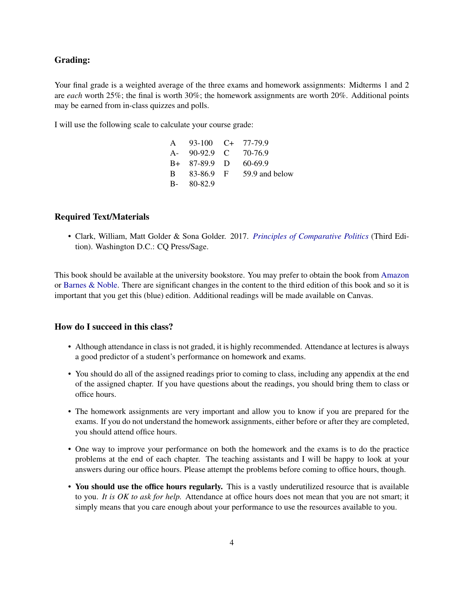## Grading:

Your final grade is a weighted average of the three exams and homework assignments: Midterms 1 and 2 are *each* worth 25%; the final is worth 30%; the homework assignments are worth 20%. Additional points may be earned from in-class quizzes and polls.

I will use the following scale to calculate your course grade:

| A 93-100 C+ 77-79.9  |                |
|----------------------|----------------|
| A- 90-92.9 C 70-76.9 |                |
| $B+ 87-89.9$ D       | 60-69.9        |
| B 83-86.9 F          | 59.9 and below |
| $B - 80 - 82.9$      |                |

## Required Text/Materials

• Clark, William, Matt Golder & Sona Golder. 2017. *[Principles of Comparative Politics](https://us.sagepub.com/en-us/nam/principles-of-comparative-politics/book243842)* (Third Edition). Washington D.C.: CQ Press/Sage.

This book should be available at the university bookstore. You may prefer to obtain the book from [Amazon](https://www.amazon.com/dp/B06XGG6HRF/ref=dp-kindle-redirect?_encoding=UTF8&btkr=1) or [Barnes & Noble.](https://www.barnesandnoble.com/w/principles-of-comparative-politics-third-edition-william-roberts-clark/1128777628;jsessionid=D4B65A76A7BAF0DAB6D3A5FB5DB41C85.prodny_store01-atgap09) There are significant changes in the content to the third edition of this book and so it is important that you get this (blue) edition. Additional readings will be made available on Canvas.

## How do I succeed in this class?

- Although attendance in class is not graded, it is highly recommended. Attendance at lectures is always a good predictor of a student's performance on homework and exams.
- You should do all of the assigned readings prior to coming to class, including any appendix at the end of the assigned chapter. If you have questions about the readings, you should bring them to class or office hours.
- The homework assignments are very important and allow you to know if you are prepared for the exams. If you do not understand the homework assignments, either before or after they are completed, you should attend office hours.
- One way to improve your performance on both the homework and the exams is to do the practice problems at the end of each chapter. The teaching assistants and I will be happy to look at your answers during our office hours. Please attempt the problems before coming to office hours, though.
- You should use the office hours regularly. This is a vastly underutilized resource that is available to you. *It is OK to ask for help.* Attendance at office hours does not mean that you are not smart; it simply means that you care enough about your performance to use the resources available to you.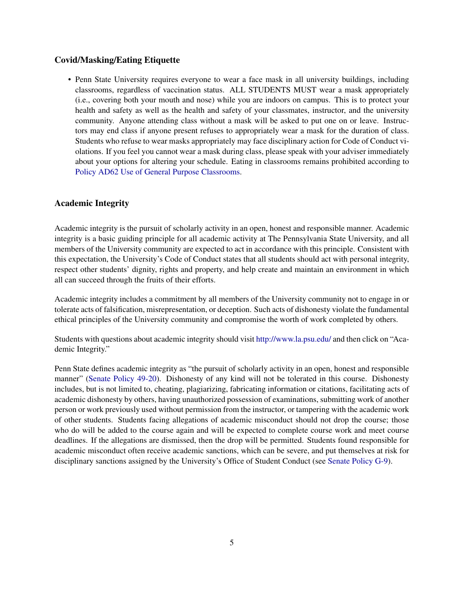# Covid/Masking/Eating Etiquette

• Penn State University requires everyone to wear a face mask in all university buildings, including classrooms, regardless of vaccination status. ALL STUDENTS MUST wear a mask appropriately (i.e., covering both your mouth and nose) while you are indoors on campus. This is to protect your health and safety as well as the health and safety of your classmates, instructor, and the university community. Anyone attending class without a mask will be asked to put one on or leave. Instructors may end class if anyone present refuses to appropriately wear a mask for the duration of class. Students who refuse to wear masks appropriately may face disciplinary action for Code of Conduct violations. If you feel you cannot wear a mask during class, please speak with your adviser immediately about your options for altering your schedule. Eating in classrooms remains prohibited according to [Policy AD62 Use of General Purpose Classrooms.](https://policy.psu.edu/policies/ad62)

## Academic Integrity

Academic integrity is the pursuit of scholarly activity in an open, honest and responsible manner. Academic integrity is a basic guiding principle for all academic activity at The Pennsylvania State University, and all members of the University community are expected to act in accordance with this principle. Consistent with this expectation, the University's Code of Conduct states that all students should act with personal integrity, respect other students' dignity, rights and property, and help create and maintain an environment in which all can succeed through the fruits of their efforts.

Academic integrity includes a commitment by all members of the University community not to engage in or tolerate acts of falsification, misrepresentation, or deception. Such acts of dishonesty violate the fundamental ethical principles of the University community and compromise the worth of work completed by others.

Students with questions about academic integrity should visit <http://www.la.psu.edu/> and then click on "Academic Integrity."

Penn State defines academic integrity as "the pursuit of scholarly activity in an open, honest and responsible manner" [\(Senate Policy 49-20\)](https://senate.psu.edu/policies-and-rules-for-undergraduate-students/47-00-48-00-and-49-00-grades/#49-20). Dishonesty of any kind will not be tolerated in this course. Dishonesty includes, but is not limited to, cheating, plagiarizing, fabricating information or citations, facilitating acts of academic dishonesty by others, having unauthorized possession of examinations, submitting work of another person or work previously used without permission from the instructor, or tampering with the academic work of other students. Students facing allegations of academic misconduct should not drop the course; those who do will be added to the course again and will be expected to complete course work and meet course deadlines. If the allegations are dismissed, then the drop will be permitted. Students found responsible for academic misconduct often receive academic sanctions, which can be severe, and put themselves at risk for disciplinary sanctions assigned by the University's Office of Student Conduct (see [Senate Policy G-9\)](https://undergrad.psu.edu/aappm/G-9-academic-integrity.html).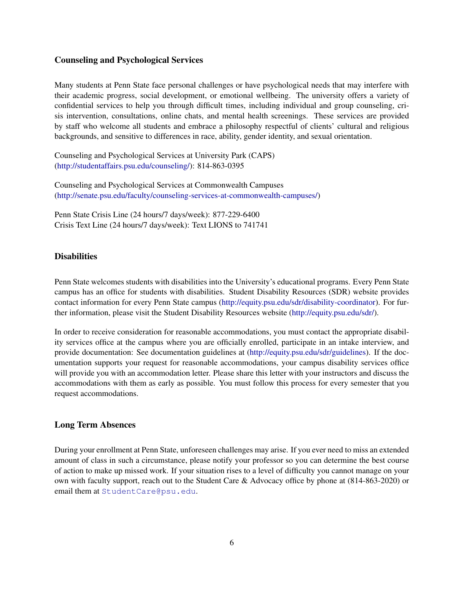## Counseling and Psychological Services

Many students at Penn State face personal challenges or have psychological needs that may interfere with their academic progress, social development, or emotional wellbeing. The university offers a variety of confidential services to help you through difficult times, including individual and group counseling, crisis intervention, consultations, online chats, and mental health screenings. These services are provided by staff who welcome all students and embrace a philosophy respectful of clients' cultural and religious backgrounds, and sensitive to differences in race, ability, gender identity, and sexual orientation.

Counseling and Psychological Services at University Park (CAPS) [\(http://studentaffairs.psu.edu/counseling/\)](https://studentaffairs.psu.edu/counseling): 814-863-0395

Counseling and Psychological Services at Commonwealth Campuses [\(http://senate.psu.edu/faculty/counseling-services-at-commonwealth-campuses/\)](http://senate.psu.edu/faculty/counseling-services-at-commonwealth-campuses/)

Penn State Crisis Line (24 hours/7 days/week): 877-229-6400 Crisis Text Line (24 hours/7 days/week): Text LIONS to 741741

## **Disabilities**

Penn State welcomes students with disabilities into the University's educational programs. Every Penn State campus has an office for students with disabilities. Student Disability Resources (SDR) website provides contact information for every Penn State campus [\(http://equity.psu.edu/sdr/disability-coordinator\)](http://equity.psu.edu/student-disability-resources/campus-disability-coordinators). For further information, please visit the Student Disability Resources website [\(http://equity.psu.edu/sdr/\)](http://equity.psu.edu/student-disability-resources/).

In order to receive consideration for reasonable accommodations, you must contact the appropriate disability services office at the campus where you are officially enrolled, participate in an intake interview, and provide documentation: See documentation guidelines at [\(http://equity.psu.edu/sdr/guidelines\)](http://equity.psu.edu/student-disability-resources/applying-for-services/documentation-guidelines). If the documentation supports your request for reasonable accommodations, your campus disability services office will provide you with an accommodation letter. Please share this letter with your instructors and discuss the accommodations with them as early as possible. You must follow this process for every semester that you request accommodations.

## Long Term Absences

During your enrollment at Penn State, unforeseen challenges may arise. If you ever need to miss an extended amount of class in such a circumstance, please notify your professor so you can determine the best course of action to make up missed work. If your situation rises to a level of difficulty you cannot manage on your own with faculty support, reach out to the Student Care & Advocacy office by phone at (814-863-2020) or email them at [StudentCare@psu.edu](mailto:StudentCare@psu.edu).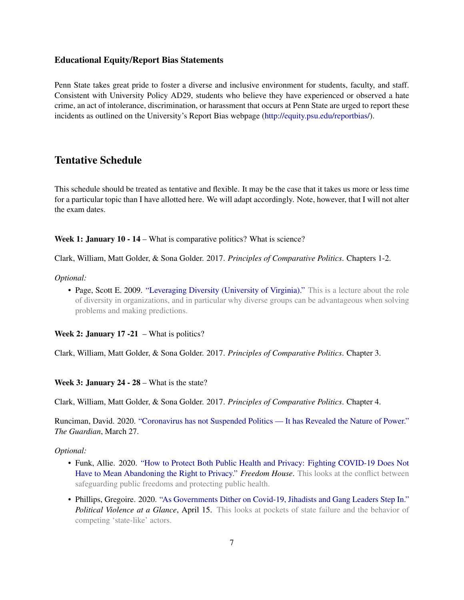#### Educational Equity/Report Bias Statements

Penn State takes great pride to foster a diverse and inclusive environment for students, faculty, and staff. Consistent with University Policy AD29, students who believe they have experienced or observed a hate crime, an act of intolerance, discrimination, or harassment that occurs at Penn State are urged to report these incidents as outlined on the University's Report Bias webpage [\(http://equity.psu.edu/reportbias/\)](http://equity.psu.edu/reportbias/).

# Tentative Schedule

This schedule should be treated as tentative and flexible. It may be the case that it takes us more or less time for a particular topic than I have allotted here. We will adapt accordingly. Note, however, that I will not alter the exam dates.

Week 1: January 10 - 14 – What is comparative politics? What is science?

Clark, William, Matt Golder, & Sona Golder. 2017. *Principles of Comparative Politics*. Chapters 1-2.

#### *Optional:*

• Page, Scott E. 2009. ["Leveraging Diversity \(University of Virginia\)."](https://sites.lsa.umich.edu/scottepage/76-2/) This is a lecture about the role of diversity in organizations, and in particular why diverse groups can be advantageous when solving problems and making predictions.

Week 2: January 17 -21 – What is politics?

Clark, William, Matt Golder, & Sona Golder. 2017. *Principles of Comparative Politics*. Chapter 3.

#### Week 3: January 24 - 28 – What is the state?

Clark, William, Matt Golder, & Sona Golder. 2017. *Principles of Comparative Politics*. Chapter 4.

Runciman, David. 2020. ["Coronavirus has not Suspended Politics — It has Revealed the Nature of Power."](https://www.theguardian.com/commentisfree/2020/mar/27/coronavirus-politics-lockdown-hobbes) *The Guardian*, March 27.

- Funk, Allie. 2020. ["How to Protect Both Public Health and Privacy: Fighting COVID-19 Does Not](https://freedomhouse.org/article/how-protect-both-public-health-and-privacy) [Have to Mean Abandoning the Right to Privacy."](https://freedomhouse.org/article/how-protect-both-public-health-and-privacy) *Freedom House*. This looks at the conflict between safeguarding public freedoms and protecting public health.
- Phillips, Gregoire. 2020. ["As Governments Dither on Covid-19, Jihadists and Gang Leaders Step In."](http://politicalviolenceataglance.org/2020/04/15/as-governments-dither-on-covid-19-jihadists-and-gang-leaders-step-in/) *Political Violence at a Glance*, April 15. This looks at pockets of state failure and the behavior of competing 'state-like' actors.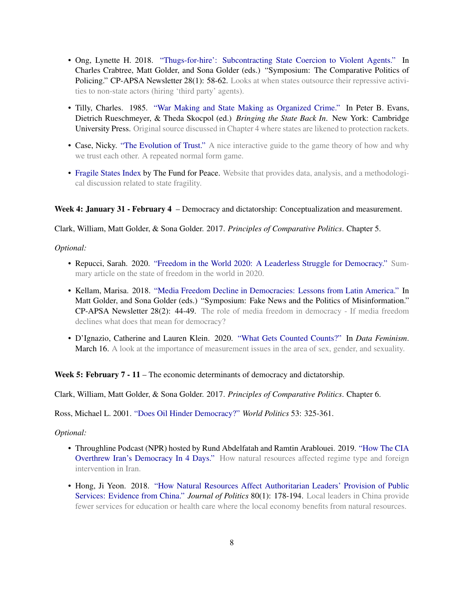- Ong, Lynette H. 2018. ["Thugs-for-hire': Subcontracting State Coercion to Violent Agents."](http://comparativenewsletter.com/files/archived_newsletters/2018_spring.pdf) In Charles Crabtree, Matt Golder, and Sona Golder (eds.) "Symposium: The Comparative Politics of Policing." CP-APSA Newsletter 28(1): 58-62. Looks at when states outsource their repressive activities to non-state actors (hiring 'third party' agents).
- Tilly, Charles. 1985. ["War Making and State Making as Organized Crime."](https://deepblue.lib.umich.edu/bitstream/handle/2027.42/51028/256.pdf) In Peter B. Evans, Dietrich Rueschmeyer, & Theda Skocpol (ed.) *Bringing the State Back In*. New York: Cambridge University Press. Original source discussed in Chapter 4 where states are likened to protection rackets.
- Case, Nicky. ["The Evolution of Trust."](https://ncase.me/trust/) A nice interactive guide to the game theory of how and why we trust each other. A repeated normal form game.
- [Fragile States Index](https://fragilestatesindex.org/) by The Fund for Peace. Website that provides data, analysis, and a methodological discussion related to state fragility.

## Week 4: January 31 - February 4 – Democracy and dictatorship: Conceptualization and measurement.

Clark, William, Matt Golder, & Sona Golder. 2017. *Principles of Comparative Politics*. Chapter 5.

## *Optional:*

- Repucci, Sarah. 2020. ["Freedom in the World 2020: A Leaderless Struggle for Democracy."](https://freedomhouse.org/report/freedom-world/2020/leaderless-struggle-democracy) Summary article on the state of freedom in the world in 2020.
- Kellam, Marisa. 2018. ["Media Freedom Decline in Democracies: Lessons from Latin America."](http://comparativenewsletter.com/files/archived_newsletters/2018_fall.pdf) In Matt Golder, and Sona Golder (eds.) "Symposium: Fake News and the Politics of Misinformation." CP-APSA Newsletter 28(2): 44-49. The role of media freedom in democracy - If media freedom declines what does that mean for democracy?
- D'Ignazio, Catherine and Lauren Klein. 2020. ["What Gets Counted Counts?"](https://data-feminism.mitpress.mit.edu/pub/h1w0nbqp/release/2?readingCollection=0cd867ef) In *Data Feminism*. March 16. A look at the importance of measurement issues in the area of sex, gender, and sexuality.

Week 5: February  $7 - 11$  – The economic determinants of democracy and dictatorship.

Clark, William, Matt Golder, & Sona Golder. 2017. *Principles of Comparative Politics*. Chapter 6.

Ross, Michael L. 2001. ["Does Oil Hinder Democracy?"](https://scholar.harvard.edu/files/levitsky/files/ross_world_politics.pdf) *World Politics* 53: 325-361.

- Throughline Podcast (NPR) hosted by Rund Abdelfatah and Ramtin Arablouei. 2019. ["How The CIA](https://www.npr.org/2019/01/31/690363402/how-the-cia-overthrew-irans-democracy-in-four-days) [Overthrew Iran's Democracy In 4 Days."](https://www.npr.org/2019/01/31/690363402/how-the-cia-overthrew-irans-democracy-in-four-days) How natural resources affected regime type and foreign intervention in Iran.
- Hong, Ji Yeon. 2018. ["How Natural Resources Affect Authoritarian Leaders' Provision of Public](https://www.journals.uchicago.edu/doi/abs/10.1086/694199) [Services: Evidence from China."](https://www.journals.uchicago.edu/doi/abs/10.1086/694199) *Journal of Politics* 80(1): 178-194. Local leaders in China provide fewer services for education or health care where the local economy benefits from natural resources.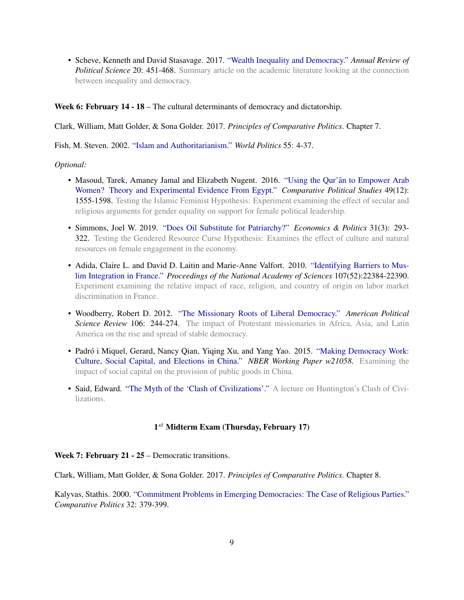• Scheve, Kenneth and David Stasavage. 2017. ["Wealth Inequality and Democracy."](https://www.researchgate.net/publication/314251040_Wealth_Inequality_and_Democracy) *Annual Review of Political Science* 20: 451-468. Summary article on the academic literature looking at the connection between inequality and democracy.

## Week 6: February 14 - 18 – The cultural determinants of democracy and dictatorship.

Clark, William, Matt Golder, & Sona Golder. 2017. *Principles of Comparative Politics*. Chapter 7.

Fish, M. Steven. 2002. ["Islam and Authoritarianism."](https://polisci.berkeley.edu/sites/default/files/people/u3833/Islam_and_Authoritarianism.pdf) *World Politics* 55: 4-37.

#### *Optional:*

- Masoud, Tarek, Amaney Jamal and Elizabeth Nugent. 2016. ["Using the Qur'an to Empower Arab](https://journals.sagepub.com/doi/10.1177/0010414015626452) [Women? Theory and Experimental Evidence From Egypt."](https://journals.sagepub.com/doi/10.1177/0010414015626452) *Comparative Political Studies* 49(12): 1555-1598. Testing the Islamic Feminist Hypothesis: Experiment examining the effect of secular and religious arguments for gender equality on support for female political leadership.
- Simmons, Joel W. 2019. ["Does Oil Substitute for Patriarchy?"](https://onlinelibrary.wiley.com/doi/abs/10.1111/ecpo.12127) *Economics & Politics* 31(3): 293- 322. Testing the Gendered Resource Curse Hypothesis: Examines the effect of culture and natural resources on female engagement in the economy.
- Adida, Claire L. and David D. Laitin and Marie-Anne Valfort. 2010. ["Identifying Barriers to Mus](https://halshs.archives-ouvertes.fr/halshs-00618060/document)[lim Integration in France."](https://halshs.archives-ouvertes.fr/halshs-00618060/document) *Proceedings of the National Academy of Sciences* 107(52):22384-22390. Experiment examining the relative impact of race, religion, and country of origin on labor market discrimination in France.
- Woodberry, Robert D. 2012. ["The Missionary Roots of Liberal Democracy."](https://www.researchgate.net/publication/235503063_The_Missionary_Roots_of_Liberal_Democracy) *American Political Science Review* 106: 244-274. The impact of Protestant missionaries in Africa, Asia, and Latin America on the rise and spread of stable democracy.
- Padró i Miquel, Gerard, Nancy Qian, Yiqing Xu, and Yang Yao. 2015. ["Making Democracy Work:](https://www.nber.org/papers/w21058.pdf) [Culture, Social Capital, and Elections in China."](https://www.nber.org/papers/w21058.pdf) *NBER Working Paper w21058*. Examining the impact of social capital on the provision of public goods in China.
- Said, Edward. ["The Myth of the 'Clash of Civilizations'."](https://www.youtube.com/watch?v=aPS-pONiEG8) A lecture on Huntington's Clash of Civilizations.

# 1<sup>st</sup> Midterm Exam (Thursday, February 17)

#### Week 7: February 21 - 25 – Democratic transitions.

Clark, William, Matt Golder, & Sona Golder. 2017. *Principles of Comparative Politics*. Chapter 8.

Kalyvas, Stathis. 2000. ["Commitment Problems in Emerging Democracies: The Case of Religious Parties."](http://www.jstor.org/stable/pdfplus/422385.pdf?acceptTC=true) *Comparative Politics* 32: 379-399.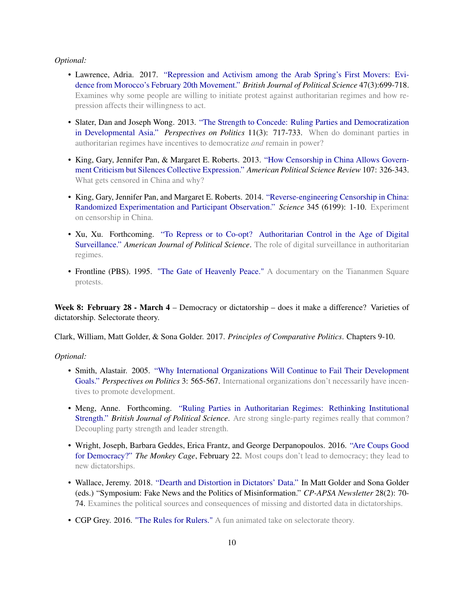#### *Optional:*

- Lawrence, Adria. 2017. ["Repression and Activism among the Arab Spring's First Movers: Evi](https://www-cambridge-org.ezaccess.libraries.psu.edu/core/journals/british-journal-of-political-science/article/repression-and-activism-among-the-arab-springs-first-movers-evidence-from-moroccos-february-20th-movement/14CA967CB3AEC9107D88F19494340A22)[dence from Morocco's February 20th Movement."](https://www-cambridge-org.ezaccess.libraries.psu.edu/core/journals/british-journal-of-political-science/article/repression-and-activism-among-the-arab-springs-first-movers-evidence-from-moroccos-february-20th-movement/14CA967CB3AEC9107D88F19494340A22) *British Journal of Political Science* 47(3):699-718. Examines why some people are willing to initiate protest against authoritarian regimes and how repression affects their willingness to act.
- Slater, Dan and Joseph Wong. 2013. ["The Strength to Concede: Ruling Parties and Democratization](https://www.cambridge.org/core/journals/perspectives-on-politics/article/strength-to-concede-ruling-parties-and-democratization-in-developmental-asia/567D16100F26FB97866BEFA9A63357DE) [in Developmental Asia."](https://www.cambridge.org/core/journals/perspectives-on-politics/article/strength-to-concede-ruling-parties-and-democratization-in-developmental-asia/567D16100F26FB97866BEFA9A63357DE) *Perspectives on Politics* 11(3): 717-733. When do dominant parties in authoritarian regimes have incentives to democratize *and* remain in power?
- King, Gary, Jennifer Pan, & Margaret E. Roberts. 2013. ["How Censorship in China Allows Govern](https://gking.harvard.edu/publications/how-censorship-china-allows-government-criticism-silences-collective-expression)[ment Criticism but Silences Collective Expression."](https://gking.harvard.edu/publications/how-censorship-china-allows-government-criticism-silences-collective-expression) *American Political Science Review* 107: 326-343. What gets censored in China and why?
- King, Gary, Jennifer Pan, and Margaret E. Roberts. 2014. ["Reverse-engineering Censorship in China:](https://gking.harvard.edu/publications/randomized-experimental-study-censorship-china) [Randomized Experimentation and Participant Observation."](https://gking.harvard.edu/publications/randomized-experimental-study-censorship-china) *Science* 345 (6199): 1-10. Experiment on censorship in China.
- Xu, Xu. Forthcoming. ["To Repress or to Co-opt? Authoritarian Control in the Age of Digital](https://onlinelibrary.wiley.com/doi/abs/10.1111/ajps.12514) [Surveillance."](https://onlinelibrary.wiley.com/doi/abs/10.1111/ajps.12514) *American Journal of Political Science*. The role of digital surveillance in authoritarian regimes.
- Frontline (PBS). 1995. ["The Gate of Heavenly Peace."](https://www.youtube.com/watch?v=1Gtt2JxmQtg) A documentary on the Tiananmen Square protests.

Week 8: February 28 - March 4 – Democracy or dictatorship – does it make a difference? Varieties of dictatorship. Selectorate theory.

Clark, William, Matt Golder, & Sona Golder. 2017. *Principles of Comparative Politics*. Chapters 9-10.

- Smith, Alastair. 2005. ["Why International Organizations Will Continue to Fail Their Development](http://dx.doi.org/10.1017/S1537592705310346) [Goals."](http://dx.doi.org/10.1017/S1537592705310346) *Perspectives on Politics* 3: 565-567. International organizations don't necessarily have incentives to promote development.
- Meng, Anne. Forthcoming. ["Ruling Parties in Authoritarian Regimes: Rethinking Institutional](http://www.annemeng.com/uploads/5/6/6/6/56666335/meng_bjpsrulingparties.pdf) [Strength."](http://www.annemeng.com/uploads/5/6/6/6/56666335/meng_bjpsrulingparties.pdf) *British Journal of Political Science*. Are strong single-party regimes really that common? Decoupling party strength and leader strength.
- Wright, Joseph, Barbara Geddes, Erica Frantz, and George Derpanopoulos. 2016. ["Are Coups Good](https://www.washingtonpost.com/news/monkey-cage/wp/2016/02/22/are-coups-good-for-democracy/) [for Democracy?"](https://www.washingtonpost.com/news/monkey-cage/wp/2016/02/22/are-coups-good-for-democracy/) *The Monkey Cage*, February 22. Most coups don't lead to democracy; they lead to new dictatorships.
- Wallace, Jeremy. 2018. ["Dearth and Distortion in Dictators' Data."](http://comparativenewsletter.com/files/archived_newsletters/2018_fall.pdf) In Matt Golder and Sona Golder (eds.) "Symposium: Fake News and the Politics of Misinformation." *CP-APSA Newsletter* 28(2): 70- 74. Examines the political sources and consequences of missing and distorted data in dictatorships.
- CGP Grey. 2016. ["The Rules for Rulers."](https://www.youtube.com/watch?v=rStL7niR7gs) A fun animated take on selectorate theory.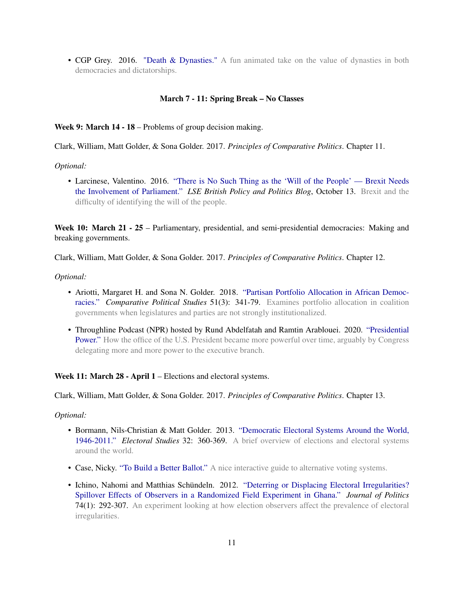• CGP Grey. 2016. ["Death & Dynasties."](https://www.youtube.com/watch?v=ig_qpNfXHIU) A fun animated take on the value of dynasties in both democracies and dictatorships.

#### March 7 - 11: Spring Break – No Classes

Week 9: March 14 - 18 – Problems of group decision making.

Clark, William, Matt Golder, & Sona Golder. 2017. *Principles of Comparative Politics*. Chapter 11.

#### *Optional:*

• Larcinese, Valentino. 2016. ["There is No Such Thing as the 'Will of the People' — Brexit Needs](https://blogs.lse.ac.uk/politicsandpolicy/brexit-needs-the-involvement-of-parliament/) [the Involvement of Parliament."](https://blogs.lse.ac.uk/politicsandpolicy/brexit-needs-the-involvement-of-parliament/) *LSE British Policy and Politics Blog*, October 13. Brexit and the difficulty of identifying the will of the people.

Week 10: March 21 - 25 – Parliamentary, presidential, and semi-presidential democracies: Making and breaking governments.

Clark, William, Matt Golder, & Sona Golder. 2017. *Principles of Comparative Politics*. Chapter 12.

## *Optional:*

- Ariotti, Margaret H. and Sona N. Golder. 2018. ["Partisan Portfolio Allocation in African Democ](http://mollyshewrote.com/wp-content/uploads/2018/02/AriottiGolder_2018_CPS.pdf)[racies."](http://mollyshewrote.com/wp-content/uploads/2018/02/AriottiGolder_2018_CPS.pdf) *Comparative Political Studies* 51(3): 341-79. Examines portfolio allocation in coalition governments when legislatures and parties are not strongly institutionalized.
- Throughline Podcast (NPR) hosted by Rund Abdelfatah and Ramtin Arablouei. 2020. ["Presidential](https://www.npr.org/2020/06/09/873495248/presidential-power) [Power."](https://www.npr.org/2020/06/09/873495248/presidential-power) How the office of the U.S. President became more powerful over time, arguably by Congress delegating more and more power to the executive branch.

Week 11: March 28 - April 1 – Elections and electoral systems.

Clark, William, Matt Golder, & Sona Golder. 2017. *Principles of Comparative Politics*. Chapter 13.

- Bormann, Nils-Christian & Matt Golder. 2013. ["Democratic Electoral Systems Around the World,](http://mattgolder.com/files/research/es3.pdf) [1946-2011."](http://mattgolder.com/files/research/es3.pdf) *Electoral Studies* 32: 360-369. A brief overview of elections and electoral systems around the world.
- Case, Nicky. ["To Build a Better Ballot."](https://ncase.me/ballot/) A nice interactive guide to alternative voting systems.
- Ichino, Nahomi and Matthias Schündeln. 2012. ["Deterring or Displacing Electoral Irregularities?](https://www.journals.uchicago.edu/doi/abs/10.1017/S0022381611001368) [Spillover Effects of Observers in a Randomized Field Experiment in Ghana."](https://www.journals.uchicago.edu/doi/abs/10.1017/S0022381611001368) *Journal of Politics* 74(1): 292-307. An experiment looking at how election observers affect the prevalence of electoral irregularities.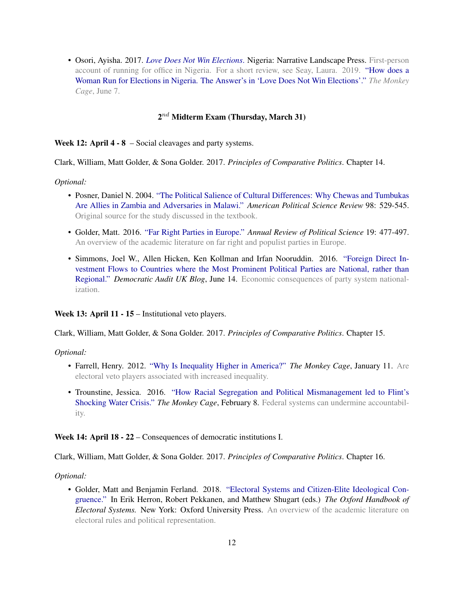• Osori, Ayisha. 2017. *[Love Does Not Win Elections](https://www.amazon.com/Love-Does-Not-Win-Elections-ebook/dp/B075DCKHK3)*. Nigeria: Narrative Landscape Press. First-person account of running for office in Nigeria. For a short review, see Seay, Laura. 2019. ["How does a](https://www.washingtonpost.com/politics/2019/06/07/how-does-woman-run-office-nigeria-answers-love-does-not-win-elections/) [Woman Run for Elections in Nigeria. The Answer's in 'Love Does Not Win Elections'."](https://www.washingtonpost.com/politics/2019/06/07/how-does-woman-run-office-nigeria-answers-love-does-not-win-elections/) *The Monkey Cage*, June 7.

# $2^{nd}$  Midterm Exam (Thursday, March 31)

Week 12: April 4 - 8 – Social cleavages and party systems.

Clark, William, Matt Golder, & Sona Golder. 2017. *Principles of Comparative Politics*. Chapter 14.

*Optional:*

- Posner, Daniel N. 2004. ["The Political Salience of Cultural Differences: Why Chewas and Tumbukas](http://www.sscnet.ucla.edu/polisci/wgape/papers/3_Posner.pdf) [Are Allies in Zambia and Adversaries in Malawi."](http://www.sscnet.ucla.edu/polisci/wgape/papers/3_Posner.pdf) *American Political Science Review* 98: 529-545. Original source for the study discussed in the textbook.
- Golder, Matt. 2016. ["Far Right Parties in Europe."](https://www.annualreviews.org/doi/pdf/10.1146/annurev-polisci-042814-012441) *Annual Review of Political Science* 19: 477-497. An overview of the academic literature on far right and populist parties in Europe.
- Simmons, Joel W., Allen Hicken, Ken Kollman and Irfan Nooruddin. 2016. ["Foreign Direct In](https://www.democraticaudit.com/2016/06/14/foreign-direct-investment-flows-to-countries-where-the-most-prominent-political-parties-are-national-rather-than-regional/)[vestment Flows to Countries where the Most Prominent Political Parties are National, rather than](https://www.democraticaudit.com/2016/06/14/foreign-direct-investment-flows-to-countries-where-the-most-prominent-political-parties-are-national-rather-than-regional/) [Regional."](https://www.democraticaudit.com/2016/06/14/foreign-direct-investment-flows-to-countries-where-the-most-prominent-political-parties-are-national-rather-than-regional/) *Democratic Audit UK Blog*, June 14. Economic consequences of party system nationalization.

Week 13: April 11 - 15 – Institutional veto players.

Clark, William, Matt Golder, & Sona Golder. 2017. *Principles of Comparative Politics*. Chapter 15.

*Optional:*

- Farrell, Henry. 2012. ["Why Is Inequality Higher in America?"](http://themonkeycage.org/2012/01/why-is-inequality-higher-in-america/) *The Monkey Cage*, January 11. Are electoral veto players associated with increased inequality.
- Trounstine, Jessica. 2016. ["How Racial Segregation and Political Mismanagement led to Flint's](https://www.washingtonpost.com/news/monkey-cage/wp/2016/02/08/heres-the-political-history-that-led-to-flints-shocking-water-crisis/) [Shocking Water Crisis."](https://www.washingtonpost.com/news/monkey-cage/wp/2016/02/08/heres-the-political-history-that-led-to-flints-shocking-water-crisis/) *The Monkey Cage*, February 8. Federal systems can undermine accountability.

Week 14: April 18 - 22 – Consequences of democratic institutions I.

Clark, William, Matt Golder, & Sona Golder. 2017. *Principles of Comparative Politics*. Chapter 16.

*Optional:*

• Golder, Matt and Benjamin Ferland. 2018. ["Electoral Systems and Citizen-Elite Ideological Con](http://mattgolder.com/files/research/congruence.pdf)[gruence."](http://mattgolder.com/files/research/congruence.pdf) In Erik Herron, Robert Pekkanen, and Matthew Shugart (eds.) *The Oxford Handbook of Electoral Systems.* New York: Oxford University Press. An overview of the academic literature on electoral rules and political representation.